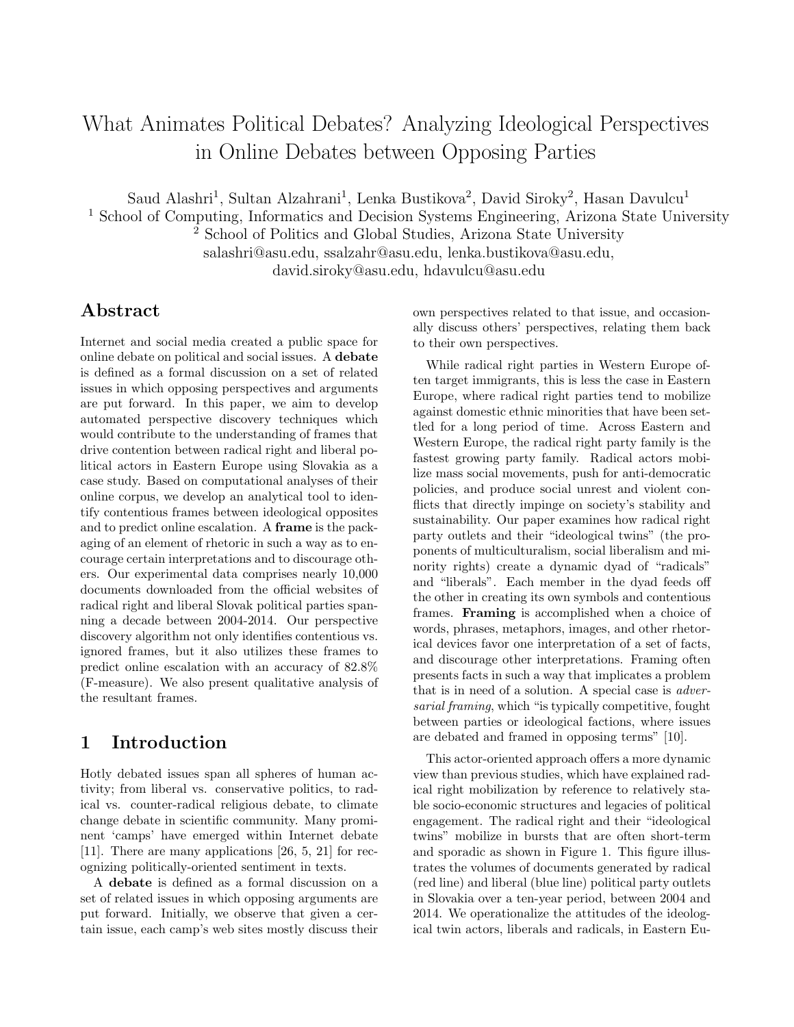# What Animates Political Debates? Analyzing Ideological Perspectives in Online Debates between Opposing Parties

Saud Alashri<sup>1</sup>, Sultan Alzahrani<sup>1</sup>, Lenka Bustikova<sup>2</sup>, David Siroky<sup>2</sup>, Hasan Davulcu<sup>1</sup>

<sup>1</sup> School of Computing, Informatics and Decision Systems Engineering, Arizona State University

<sup>2</sup> School of Politics and Global Studies, Arizona State University salashri@asu.edu, ssalzahr@asu.edu, lenka.bustikova@asu.edu,

david.siroky@asu.edu, hdavulcu@asu.edu

## Abstract

Internet and social media created a public space for online debate on political and social issues. A debate is defined as a formal discussion on a set of related issues in which opposing perspectives and arguments are put forward. In this paper, we aim to develop automated perspective discovery techniques which would contribute to the understanding of frames that drive contention between radical right and liberal political actors in Eastern Europe using Slovakia as a case study. Based on computational analyses of their online corpus, we develop an analytical tool to identify contentious frames between ideological opposites and to predict online escalation. A frame is the packaging of an element of rhetoric in such a way as to encourage certain interpretations and to discourage others. Our experimental data comprises nearly 10,000 documents downloaded from the official websites of radical right and liberal Slovak political parties spanning a decade between 2004-2014. Our perspective discovery algorithm not only identifies contentious vs. ignored frames, but it also utilizes these frames to predict online escalation with an accuracy of 82.8% (F-measure). We also present qualitative analysis of the resultant frames.

### 1 Introduction

Hotly debated issues span all spheres of human activity; from liberal vs. conservative politics, to radical vs. counter-radical religious debate, to climate change debate in scientific community. Many prominent 'camps' have emerged within Internet debate [11]. There are many applications [26, 5, 21] for recognizing politically-oriented sentiment in texts.

A debate is defined as a formal discussion on a set of related issues in which opposing arguments are put forward. Initially, we observe that given a certain issue, each camp's web sites mostly discuss their own perspectives related to that issue, and occasionally discuss others' perspectives, relating them back to their own perspectives.

While radical right parties in Western Europe often target immigrants, this is less the case in Eastern Europe, where radical right parties tend to mobilize against domestic ethnic minorities that have been settled for a long period of time. Across Eastern and Western Europe, the radical right party family is the fastest growing party family. Radical actors mobilize mass social movements, push for anti-democratic policies, and produce social unrest and violent conflicts that directly impinge on society's stability and sustainability. Our paper examines how radical right party outlets and their "ideological twins" (the proponents of multiculturalism, social liberalism and minority rights) create a dynamic dyad of "radicals" and "liberals". Each member in the dyad feeds off the other in creating its own symbols and contentious frames. Framing is accomplished when a choice of words, phrases, metaphors, images, and other rhetorical devices favor one interpretation of a set of facts, and discourage other interpretations. Framing often presents facts in such a way that implicates a problem that is in need of a solution. A special case is adversarial framing, which "is typically competitive, fought between parties or ideological factions, where issues are debated and framed in opposing terms" [10].

This actor-oriented approach offers a more dynamic view than previous studies, which have explained radical right mobilization by reference to relatively stable socio-economic structures and legacies of political engagement. The radical right and their "ideological twins" mobilize in bursts that are often short-term and sporadic as shown in Figure 1. This figure illustrates the volumes of documents generated by radical (red line) and liberal (blue line) political party outlets in Slovakia over a ten-year period, between 2004 and 2014. We operationalize the attitudes of the ideological twin actors, liberals and radicals, in Eastern Eu-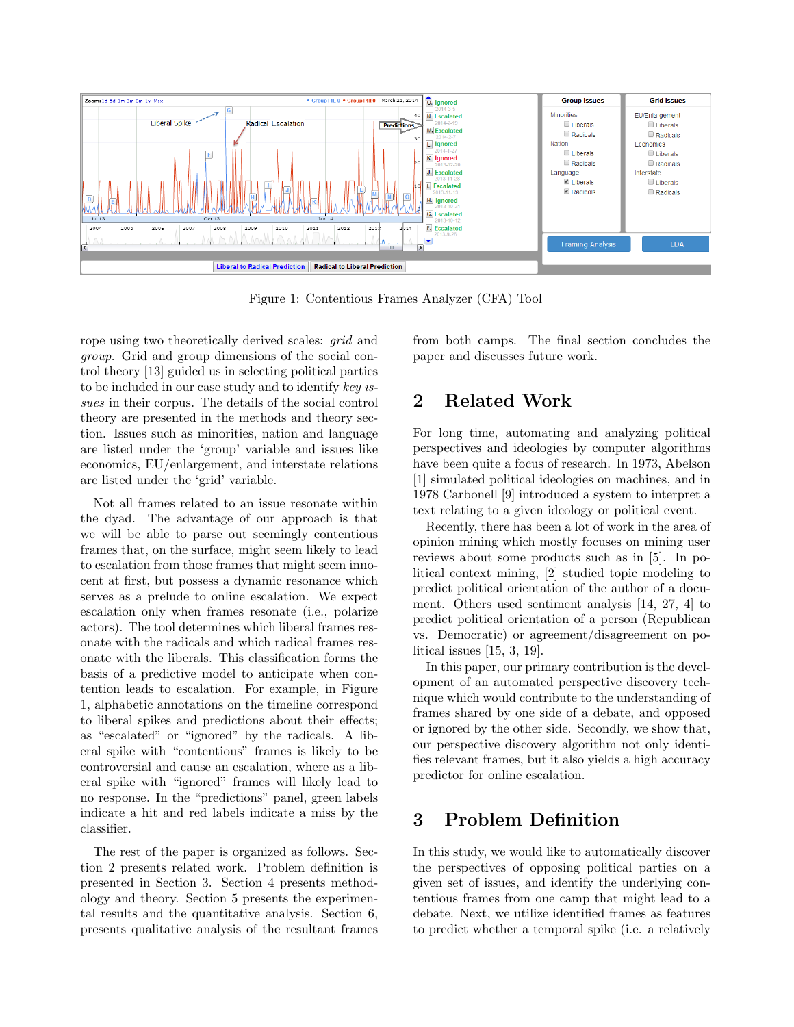

Figure 1: Contentious Frames Analyzer (CFA) Tool

rope using two theoretically derived scales: grid and group. Grid and group dimensions of the social control theory [13] guided us in selecting political parties to be included in our case study and to identify key issues in their corpus. The details of the social control theory are presented in the methods and theory section. Issues such as minorities, nation and language are listed under the 'group' variable and issues like economics, EU/enlargement, and interstate relations are listed under the 'grid' variable.

Not all frames related to an issue resonate within the dyad. The advantage of our approach is that we will be able to parse out seemingly contentious frames that, on the surface, might seem likely to lead to escalation from those frames that might seem innocent at first, but possess a dynamic resonance which serves as a prelude to online escalation. We expect escalation only when frames resonate (i.e., polarize actors). The tool determines which liberal frames resonate with the radicals and which radical frames resonate with the liberals. This classification forms the basis of a predictive model to anticipate when contention leads to escalation. For example, in Figure 1, alphabetic annotations on the timeline correspond to liberal spikes and predictions about their effects; as "escalated" or "ignored" by the radicals. A liberal spike with "contentious" frames is likely to be controversial and cause an escalation, where as a liberal spike with "ignored" frames will likely lead to no response. In the "predictions" panel, green labels indicate a hit and red labels indicate a miss by the classifier.

The rest of the paper is organized as follows. Section 2 presents related work. Problem definition is presented in Section 3. Section 4 presents methodology and theory. Section 5 presents the experimental results and the quantitative analysis. Section 6, presents qualitative analysis of the resultant frames from both camps. The final section concludes the paper and discusses future work.

# 2 Related Work

For long time, automating and analyzing political perspectives and ideologies by computer algorithms have been quite a focus of research. In 1973, Abelson [1] simulated political ideologies on machines, and in 1978 Carbonell [9] introduced a system to interpret a text relating to a given ideology or political event.

Recently, there has been a lot of work in the area of opinion mining which mostly focuses on mining user reviews about some products such as in [5]. In political context mining, [2] studied topic modeling to predict political orientation of the author of a document. Others used sentiment analysis [14, 27, 4] to predict political orientation of a person (Republican vs. Democratic) or agreement/disagreement on political issues [15, 3, 19].

In this paper, our primary contribution is the development of an automated perspective discovery technique which would contribute to the understanding of frames shared by one side of a debate, and opposed or ignored by the other side. Secondly, we show that, our perspective discovery algorithm not only identifies relevant frames, but it also yields a high accuracy predictor for online escalation.

# 3 Problem Definition

In this study, we would like to automatically discover the perspectives of opposing political parties on a given set of issues, and identify the underlying contentious frames from one camp that might lead to a debate. Next, we utilize identified frames as features to predict whether a temporal spike (i.e. a relatively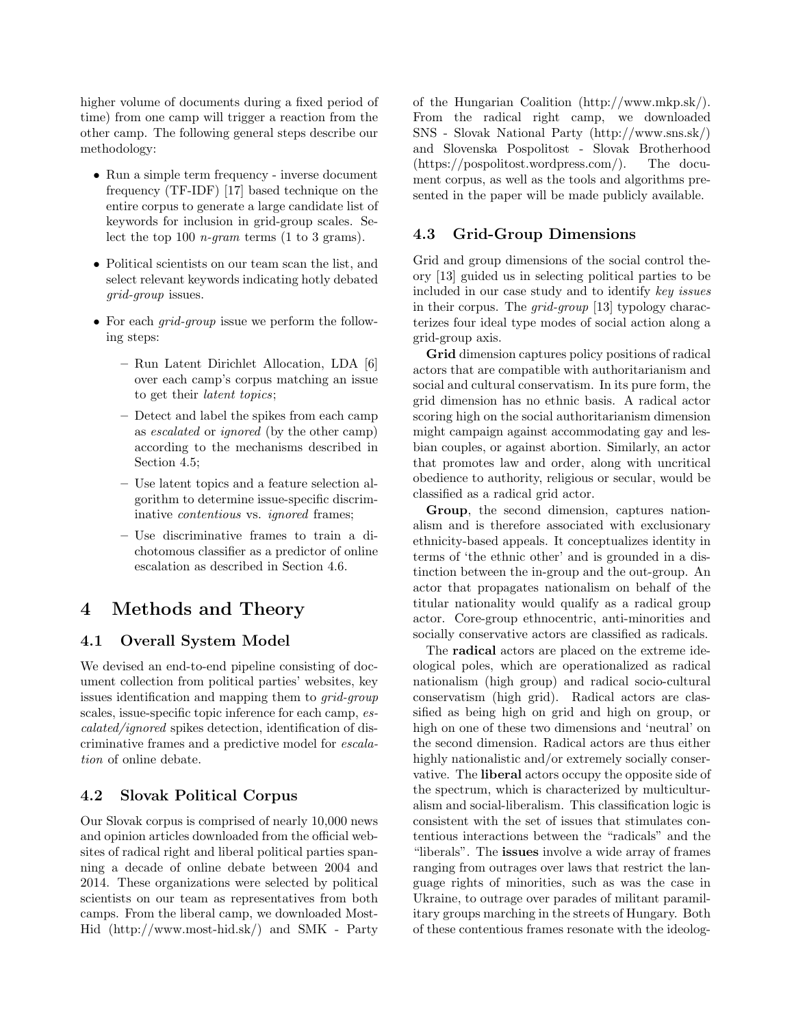higher volume of documents during a fixed period of time) from one camp will trigger a reaction from the other camp. The following general steps describe our methodology:

- Run a simple term frequency inverse document frequency (TF-IDF) [17] based technique on the entire corpus to generate a large candidate list of keywords for inclusion in grid-group scales. Select the top 100 *n*-gram terms  $(1 \text{ to } 3 \text{ grams}).$
- Political scientists on our team scan the list, and select relevant keywords indicating hotly debated grid-group issues.
- For each *grid-group* issue we perform the following steps:
	- Run Latent Dirichlet Allocation, LDA [6] over each camp's corpus matching an issue to get their latent topics;
	- Detect and label the spikes from each camp as escalated or ignored (by the other camp) according to the mechanisms described in Section 4.5;
	- Use latent topics and a feature selection algorithm to determine issue-specific discriminative *contentious* vs. *ignored* frames;
	- Use discriminative frames to train a dichotomous classifier as a predictor of online escalation as described in Section 4.6.

## 4 Methods and Theory

#### 4.1 Overall System Model

We devised an end-to-end pipeline consisting of document collection from political parties' websites, key issues identification and mapping them to grid-group scales, issue-specific topic inference for each camp, escalated/ignored spikes detection, identification of discriminative frames and a predictive model for escalation of online debate.

#### 4.2 Slovak Political Corpus

Our Slovak corpus is comprised of nearly 10,000 news and opinion articles downloaded from the official websites of radical right and liberal political parties spanning a decade of online debate between 2004 and 2014. These organizations were selected by political scientists on our team as representatives from both camps. From the liberal camp, we downloaded Most-Hid (http://www.most-hid.sk/) and SMK - Party of the Hungarian Coalition (http://www.mkp.sk/). From the radical right camp, we downloaded SNS - Slovak National Party (http://www.sns.sk/) and Slovenska Pospolitost - Slovak Brotherhood (https://pospolitost.wordpress.com/). The document corpus, as well as the tools and algorithms presented in the paper will be made publicly available.

#### 4.3 Grid-Group Dimensions

Grid and group dimensions of the social control theory [13] guided us in selecting political parties to be included in our case study and to identify key issues in their corpus. The grid-group [13] typology characterizes four ideal type modes of social action along a grid-group axis.

Grid dimension captures policy positions of radical actors that are compatible with authoritarianism and social and cultural conservatism. In its pure form, the grid dimension has no ethnic basis. A radical actor scoring high on the social authoritarianism dimension might campaign against accommodating gay and lesbian couples, or against abortion. Similarly, an actor that promotes law and order, along with uncritical obedience to authority, religious or secular, would be classified as a radical grid actor.

Group, the second dimension, captures nationalism and is therefore associated with exclusionary ethnicity-based appeals. It conceptualizes identity in terms of 'the ethnic other' and is grounded in a distinction between the in-group and the out-group. An actor that propagates nationalism on behalf of the titular nationality would qualify as a radical group actor. Core-group ethnocentric, anti-minorities and socially conservative actors are classified as radicals.

The radical actors are placed on the extreme ideological poles, which are operationalized as radical nationalism (high group) and radical socio-cultural conservatism (high grid). Radical actors are classified as being high on grid and high on group, or high on one of these two dimensions and 'neutral' on the second dimension. Radical actors are thus either highly nationalistic and/or extremely socially conservative. The liberal actors occupy the opposite side of the spectrum, which is characterized by multiculturalism and social-liberalism. This classification logic is consistent with the set of issues that stimulates contentious interactions between the "radicals" and the "liberals". The issues involve a wide array of frames ranging from outrages over laws that restrict the language rights of minorities, such as was the case in Ukraine, to outrage over parades of militant paramilitary groups marching in the streets of Hungary. Both of these contentious frames resonate with the ideolog-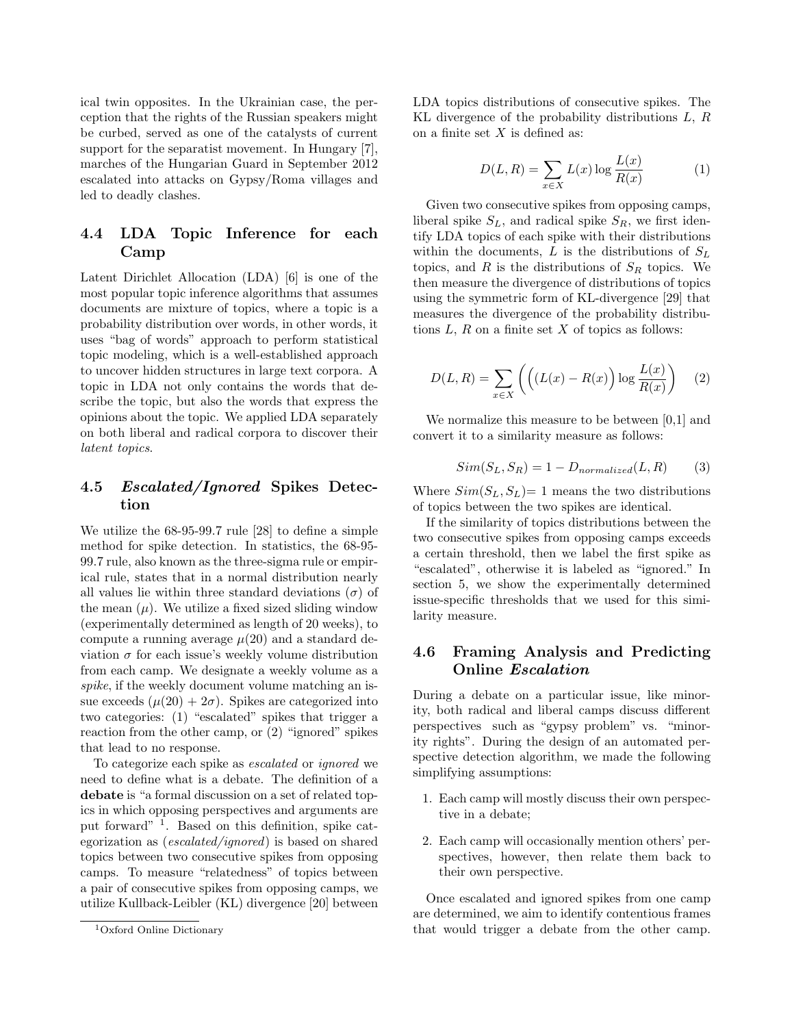ical twin opposites. In the Ukrainian case, the perception that the rights of the Russian speakers might be curbed, served as one of the catalysts of current support for the separatist movement. In Hungary [7], marches of the Hungarian Guard in September 2012 escalated into attacks on Gypsy/Roma villages and led to deadly clashes.

#### 4.4 LDA Topic Inference for each Camp

Latent Dirichlet Allocation (LDA) [6] is one of the most popular topic inference algorithms that assumes documents are mixture of topics, where a topic is a probability distribution over words, in other words, it uses "bag of words" approach to perform statistical topic modeling, which is a well-established approach to uncover hidden structures in large text corpora. A topic in LDA not only contains the words that describe the topic, but also the words that express the opinions about the topic. We applied LDA separately on both liberal and radical corpora to discover their latent topics.

#### 4.5 Escalated/Ignored Spikes Detection

We utilize the 68-95-99.7 rule [28] to define a simple method for spike detection. In statistics, the 68-95- 99.7 rule, also known as the three-sigma rule or empirical rule, states that in a normal distribution nearly all values lie within three standard deviations  $(\sigma)$  of the mean  $(\mu)$ . We utilize a fixed sized sliding window (experimentally determined as length of 20 weeks), to compute a running average  $\mu(20)$  and a standard deviation  $\sigma$  for each issue's weekly volume distribution from each camp. We designate a weekly volume as a spike, if the weekly document volume matching an issue exceeds  $(\mu(20) + 2\sigma)$ . Spikes are categorized into two categories: (1) "escalated" spikes that trigger a reaction from the other camp, or (2) "ignored" spikes that lead to no response.

To categorize each spike as escalated or ignored we need to define what is a debate. The definition of a debate is "a formal discussion on a set of related topics in which opposing perspectives and arguments are put forward" <sup>1</sup> . Based on this definition, spike categorization as (escalated/ignored) is based on shared topics between two consecutive spikes from opposing camps. To measure "relatedness" of topics between a pair of consecutive spikes from opposing camps, we utilize Kullback-Leibler (KL) divergence [20] between LDA topics distributions of consecutive spikes. The KL divergence of the probability distributions L, R on a finite set  $X$  is defined as:

$$
D(L,R) = \sum_{x \in X} L(x) \log \frac{L(x)}{R(x)} \tag{1}
$$

Given two consecutive spikes from opposing camps, liberal spike  $S_L$ , and radical spike  $S_R$ , we first identify LDA topics of each spike with their distributions within the documents,  $L$  is the distributions of  $S_L$ topics, and  $R$  is the distributions of  $S_R$  topics. We then measure the divergence of distributions of topics using the symmetric form of KL-divergence [29] that measures the divergence of the probability distributions  $L, R$  on a finite set  $X$  of topics as follows:

$$
D(L,R) = \sum_{x \in X} \left( \left( (L(x) - R(x)) \log \frac{L(x)}{R(x)} \right) \right)
$$
 (2)

We normalize this measure to be between [0,1] and convert it to a similarity measure as follows:

$$
Sim(S_L, S_R) = 1 - D_{normalized}(L, R)
$$
 (3)

Where  $Sim(S_L, S_L) = 1$  means the two distributions of topics between the two spikes are identical.

If the similarity of topics distributions between the two consecutive spikes from opposing camps exceeds a certain threshold, then we label the first spike as "escalated", otherwise it is labeled as "ignored." In section 5, we show the experimentally determined issue-specific thresholds that we used for this similarity measure.

#### 4.6 Framing Analysis and Predicting Online Escalation

During a debate on a particular issue, like minority, both radical and liberal camps discuss different perspectives such as "gypsy problem" vs. "minority rights". During the design of an automated perspective detection algorithm, we made the following simplifying assumptions:

- 1. Each camp will mostly discuss their own perspective in a debate;
- 2. Each camp will occasionally mention others' perspectives, however, then relate them back to their own perspective.

Once escalated and ignored spikes from one camp are determined, we aim to identify contentious frames that would trigger a debate from the other camp.

<sup>1</sup>Oxford Online Dictionary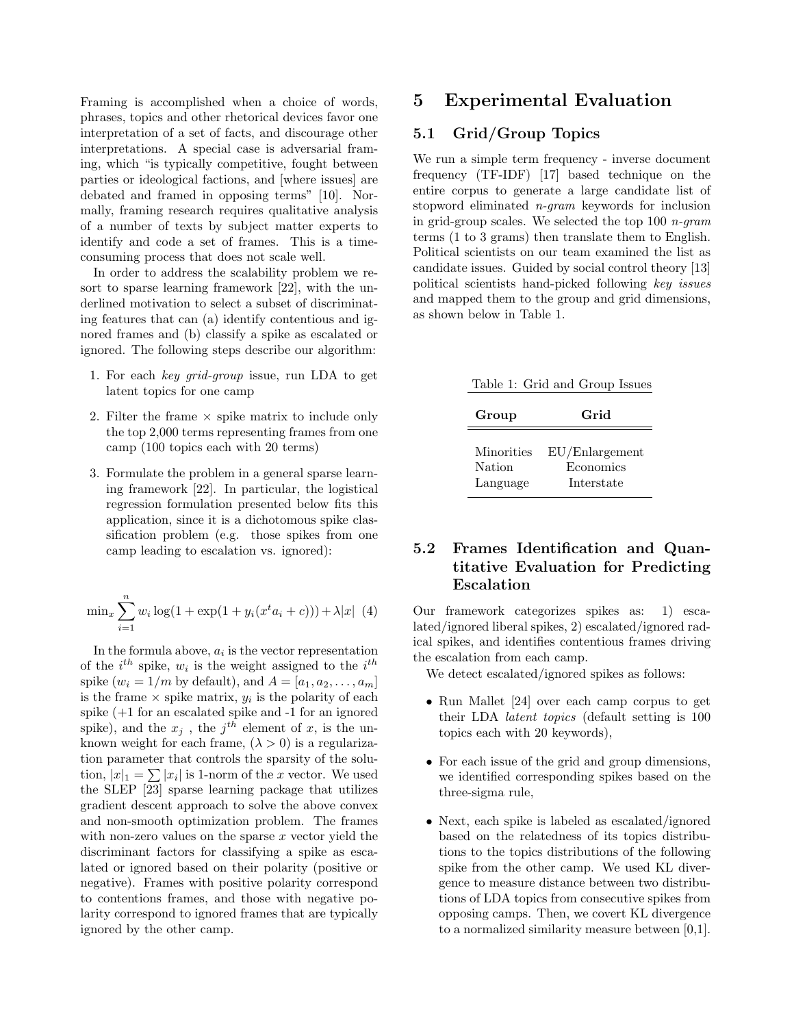Framing is accomplished when a choice of words, phrases, topics and other rhetorical devices favor one interpretation of a set of facts, and discourage other interpretations. A special case is adversarial framing, which "is typically competitive, fought between parties or ideological factions, and [where issues] are debated and framed in opposing terms" [10]. Normally, framing research requires qualitative analysis of a number of texts by subject matter experts to identify and code a set of frames. This is a timeconsuming process that does not scale well.

In order to address the scalability problem we resort to sparse learning framework [22], with the underlined motivation to select a subset of discriminating features that can (a) identify contentious and ignored frames and (b) classify a spike as escalated or ignored. The following steps describe our algorithm:

- 1. For each key grid-group issue, run LDA to get latent topics for one camp
- 2. Filter the frame  $\times$  spike matrix to include only the top 2,000 terms representing frames from one camp (100 topics each with 20 terms)
- 3. Formulate the problem in a general sparse learning framework [22]. In particular, the logistical regression formulation presented below fits this application, since it is a dichotomous spike classification problem (e.g. those spikes from one camp leading to escalation vs. ignored):

$$
\min_{x} \sum_{i=1}^{n} w_i \log(1 + \exp(1 + y_i(x^t a_i + c))) + \lambda |x| (4)
$$

In the formula above,  $a_i$  is the vector representation of the  $i^{th}$  spike,  $w_i$  is the weight assigned to the  $i^{th}$ spike  $(w_i = 1/m$  by default), and  $A = [a_1, a_2, \ldots, a_m]$ is the frame  $\times$  spike matrix,  $y_i$  is the polarity of each spike (+1 for an escalated spike and -1 for an ignored spike), and the  $x_j$ , the  $j^{th}$  element of x, is the unknown weight for each frame,  $(\lambda > 0)$  is a regularization parameter that controls the sparsity of the solution,  $|x|_1 = \sum |x_i|$  is 1-norm of the x vector. We used the SLEP [23] sparse learning package that utilizes gradient descent approach to solve the above convex and non-smooth optimization problem. The frames with non-zero values on the sparse  $x$  vector yield the discriminant factors for classifying a spike as escalated or ignored based on their polarity (positive or negative). Frames with positive polarity correspond to contentions frames, and those with negative polarity correspond to ignored frames that are typically ignored by the other camp.

### 5 Experimental Evaluation

#### 5.1 Grid/Group Topics

We run a simple term frequency - inverse document frequency (TF-IDF) [17] based technique on the entire corpus to generate a large candidate list of stopword eliminated n-gram keywords for inclusion in grid-group scales. We selected the top 100 n-gram terms (1 to 3 grams) then translate them to English. Political scientists on our team examined the list as candidate issues. Guided by social control theory [13] political scientists hand-picked following key issues and mapped them to the group and grid dimensions, as shown below in Table 1.

| Table 1: Grid and Group Issues          |                                           |  |  |  |
|-----------------------------------------|-------------------------------------------|--|--|--|
| Group                                   | Grid                                      |  |  |  |
| Minorities<br><b>Nation</b><br>Language | EU/Enlargement<br>Economics<br>Interstate |  |  |  |

### 5.2 Frames Identification and Quantitative Evaluation for Predicting Escalation

Our framework categorizes spikes as: 1) escalated/ignored liberal spikes, 2) escalated/ignored radical spikes, and identifies contentious frames driving the escalation from each camp.

We detect escalated/ignored spikes as follows:

- Run Mallet [24] over each camp corpus to get their LDA latent topics (default setting is 100 topics each with 20 keywords),
- For each issue of the grid and group dimensions, we identified corresponding spikes based on the three-sigma rule,
- Next, each spike is labeled as escalated/ignored based on the relatedness of its topics distributions to the topics distributions of the following spike from the other camp. We used KL divergence to measure distance between two distributions of LDA topics from consecutive spikes from opposing camps. Then, we covert KL divergence to a normalized similarity measure between [0,1].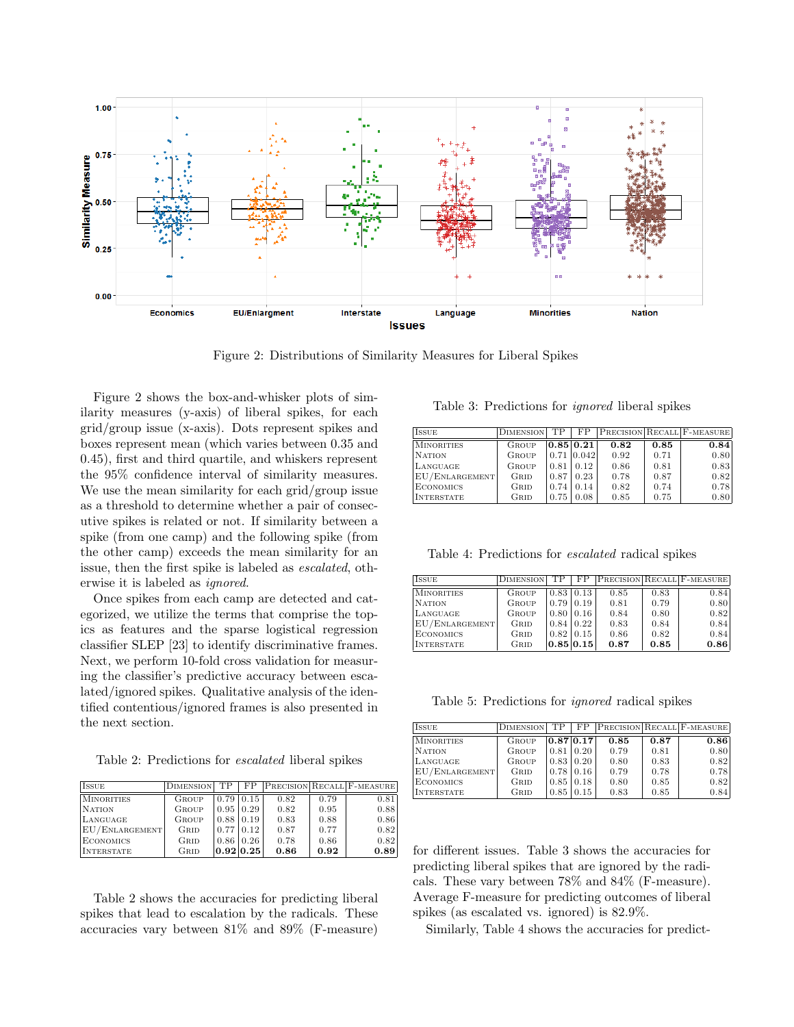

Figure 2: Distributions of Similarity Measures for Liberal Spikes

Figure 2 shows the box-and-whisker plots of similarity measures (y-axis) of liberal spikes, for each grid/group issue (x-axis). Dots represent spikes and boxes represent mean (which varies between 0.35 and 0.45), first and third quartile, and whiskers represent the 95% confidence interval of similarity measures. We use the mean similarity for each grid/group issue as a threshold to determine whether a pair of consecutive spikes is related or not. If similarity between a spike (from one camp) and the following spike (from the other camp) exceeds the mean similarity for an issue, then the first spike is labeled as escalated, otherwise it is labeled as ignored.

Once spikes from each camp are detected and categorized, we utilize the terms that comprise the topics as features and the sparse logistical regression classifier SLEP [23] to identify discriminative frames. Next, we perform 10-fold cross validation for measuring the classifier's predictive accuracy between escalated/ignored spikes. Qualitative analysis of the identified contentious/ignored frames is also presented in the next section.

Table 2: Predictions for escalated liberal spikes

| <b>ISSUE</b>      | <b>DIMENSION</b> | TР   | FP.              |      |      | <b>PRECISION RECALL F-MEASURE</b> |
|-------------------|------------------|------|------------------|------|------|-----------------------------------|
| <b>MINORITIES</b> | GROUP            |      | $0.79 \mid 0.15$ | 0.82 | 0.79 | 0.81                              |
| <b>NATION</b>     | <b>GROUP</b>     |      | $0.95 \mid 0.29$ | 0.82 | 0.95 | 0.88                              |
| LANGUAGE          | <b>GROUP</b>     |      | $0.88 \mid 0.19$ | 0.83 | 0.88 | 0.86                              |
| EU/ENLARGEMENT    | GRID             | 0.77 | 0.12             | 0.87 | 0.77 | 0.82                              |
| <b>ECONOMICS</b>  | GRID             |      | $0.86 \mid 0.26$ | 0.78 | 0.86 | 0.82                              |
| <b>INTERSTATE</b> | GRID             |      | 0.92 0.25        | 0.86 | 0.92 | 0.89                              |

Table 2 shows the accuracies for predicting liberal spikes that lead to escalation by the radicals. These accuracies vary between 81% and 89% (F-measure)

Table 3: Predictions for ignored liberal spikes

| <b>ISSUE</b>      | <b>DIMENSION</b> | TР   | FP        |      |      | PRECISION RECALL F-MEASURE |
|-------------------|------------------|------|-----------|------|------|----------------------------|
| <b>MINORITIES</b> | GROUP            |      | 0.85 0.21 | 0.82 | 0.85 | 0.84                       |
| <b>NATION</b>     | GROUP            | 0.71 | [0.042]   | 0.92 | 0.71 | 0.80                       |
| LANGUAGE          | GROUP            | 0.81 | 0.12      | 0.86 | 0.81 | 0.83                       |
| EU/ENLARGEMENT    | GRID             | 0.87 | 0.23      | 0.78 | 0.87 | 0.82                       |
| <b>ECONOMICS</b>  | GRID             | 0.74 | 0.14      | 0.82 | 0.74 | 0.78                       |
| <b>INTERSTATE</b> | GRID             | 0.75 | 0.08      | 0.85 | 0.75 | 0.80                       |

Table 4: Predictions for escalated radical spikes

| <b>ISSUE</b>      | <b>DIMENSION</b> | TP   | FP               |      |      | <b>PRECISION RECALL F-MEASURE</b> |
|-------------------|------------------|------|------------------|------|------|-----------------------------------|
| MINORITIES        | GROUP            |      | $0.83 \pm 0.13$  | 0.85 | 0.83 | 0.84                              |
| <b>NATION</b>     | GROUP            | 0.79 | 0.19             | 0.81 | 0.79 | 0.80                              |
| LANGUAGE          | <b>GROUP</b>     |      | $0.80\, \,0.16$  | 0.84 | 0.80 | 0.82                              |
| EU/ENLARGEMENT    | GRID             |      | $0.84 \mid 0.22$ | 0.83 | 0.84 | 0.84                              |
| <b>ECONOMICS</b>  | GRID             |      | $0.82 \mid 0.15$ | 0.86 | 0.82 | 0.84                              |
| <b>INTERSTATE</b> | GRID             |      | 0.85 0.15        | 0.87 | 0.85 | 0.86                              |

Table 5: Predictions for ignored radical spikes

| <b>ISSUE</b>      | <b>DIMENSION</b> | TP   | FP               |      |      | PRECISION RECALL F-MEASURE |
|-------------------|------------------|------|------------------|------|------|----------------------------|
| <b>MINORITIES</b> | GROUP            |      | $0.87$ $0.17$    | 0.85 | 0.87 | 0.86                       |
| <b>NATION</b>     | GROUP            | 0.81 | 0.20             | 0.79 | 0.81 | 0.80                       |
| LANGUAGE          | <b>GROUP</b>     |      | $0.83 \mid 0.20$ | 0.80 | 0.83 | 0.82                       |
| EU/ENLARGEMENT    | GRID             | 0.78 | 10.16            | 0.79 | 0.78 | 0.78                       |
| ECONOMICS         | GRID             | 0.85 | 10.18            | 0.80 | 0.85 | 0.82                       |
| INTERSTATE        | GRID             | 0.85 | 0.15             | 0.83 | 0.85 | 0.84                       |

for different issues. Table 3 shows the accuracies for predicting liberal spikes that are ignored by the radicals. These vary between 78% and 84% (F-measure). Average F-measure for predicting outcomes of liberal spikes (as escalated vs. ignored) is 82.9%.

Similarly, Table 4 shows the accuracies for predict-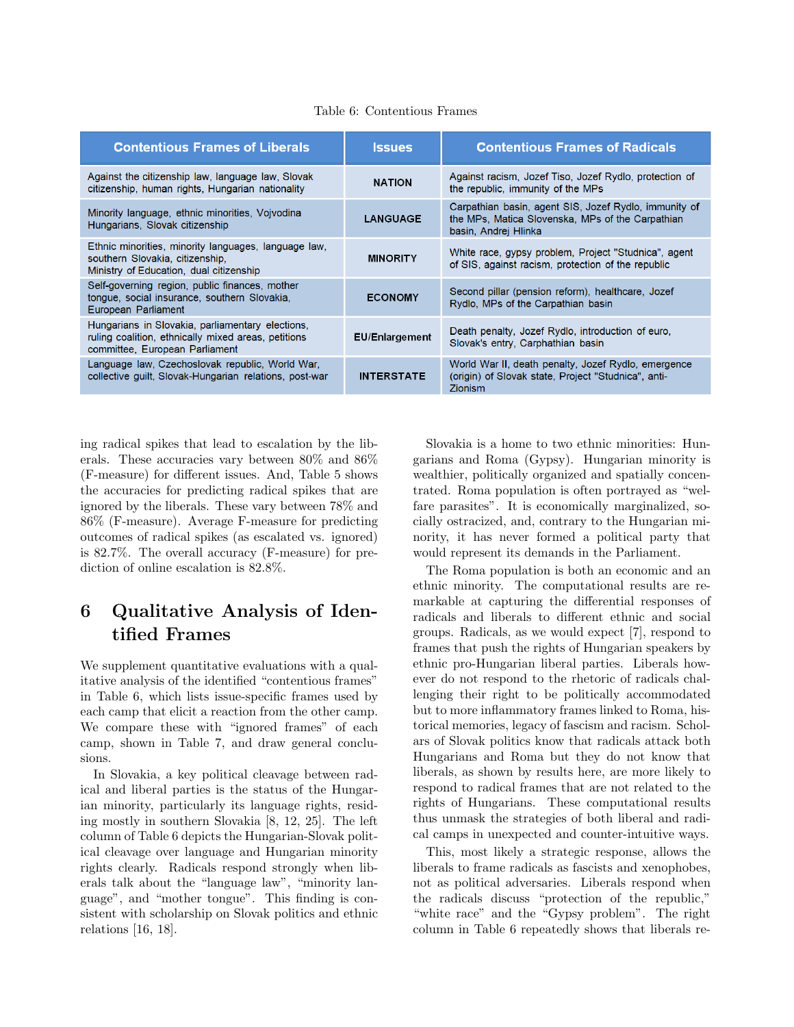#### Table 6: Contentious Frames

| <b>Contentious Frames of Liberals</b>                                                                                                     | <b>Issues</b>         | <b>Contentious Frames of Radicals</b>                                                                                             |
|-------------------------------------------------------------------------------------------------------------------------------------------|-----------------------|-----------------------------------------------------------------------------------------------------------------------------------|
| Against the citizenship law, language law, Slovak<br>citizenship, human rights, Hungarian nationality                                     | <b>NATION</b>         | Against racism, Jozef Tiso, Jozef Rydlo, protection of<br>the republic, immunity of the MPs                                       |
| Minority language, ethnic minorities, Vojvodina<br>Hungarians, Slovak citizenship                                                         | <b>LANGUAGE</b>       | Carpathian basin, agent SIS, Jozef Rydlo, immunity of<br>the MPs, Matica Slovenska, MPs of the Carpathian<br>basin, Andrej Hlinka |
| Ethnic minorities, minority languages, language law,<br>southern Slovakia, citizenship,<br>Ministry of Education, dual citizenship        | <b>MINORITY</b>       | White race, gypsy problem, Project "Studnica", agent<br>of SIS, against racism, protection of the republic                        |
| Self-governing region, public finances, mother<br>tonque, social insurance, southern Slovakia,<br>European Parliament                     | <b>ECONOMY</b>        | Second pillar (pension reform), healthcare, Jozef<br>Rydlo, MPs of the Carpathian basin                                           |
| Hungarians in Slovakia, parliamentary elections,<br>ruling coalition, ethnically mixed areas, petitions<br>committee, European Parliament | <b>EU/Enlargement</b> | Death penalty, Jozef Rydlo, introduction of euro,<br>Slovak's entry, Carphathian basin                                            |
| Language law, Czechoslovak republic, World War,<br>collective guilt, Slovak-Hungarian relations, post-war                                 | <b>INTERSTATE</b>     | World War II, death penalty, Jozef Rydlo, emergence<br>(origin) of Slovak state, Project "Studnica", anti-<br><b>Zionism</b>      |

ing radical spikes that lead to escalation by the liberals. These accuracies vary between 80% and 86% (F-measure) for different issues. And, Table 5 shows the accuracies for predicting radical spikes that are ignored by the liberals. These vary between 78% and 86% (F-measure). Average F-measure for predicting outcomes of radical spikes (as escalated vs. ignored) is 82.7%. The overall accuracy (F-measure) for prediction of online escalation is 82.8%.

# 6 Qualitative Analysis of Identified Frames

We supplement quantitative evaluations with a qualitative analysis of the identified "contentious frames" in Table 6, which lists issue-specific frames used by each camp that elicit a reaction from the other camp. We compare these with "ignored frames" of each camp, shown in Table 7, and draw general conclusions.

In Slovakia, a key political cleavage between radical and liberal parties is the status of the Hungarian minority, particularly its language rights, residing mostly in southern Slovakia [8, 12, 25]. The left column of Table 6 depicts the Hungarian-Slovak political cleavage over language and Hungarian minority rights clearly. Radicals respond strongly when liberals talk about the "language law", "minority language", and "mother tongue". This finding is consistent with scholarship on Slovak politics and ethnic relations [16, 18].

Slovakia is a home to two ethnic minorities: Hungarians and Roma (Gypsy). Hungarian minority is wealthier, politically organized and spatially concentrated. Roma population is often portrayed as "welfare parasites". It is economically marginalized, socially ostracized, and, contrary to the Hungarian minority, it has never formed a political party that would represent its demands in the Parliament.

The Roma population is both an economic and an ethnic minority. The computational results are remarkable at capturing the differential responses of radicals and liberals to different ethnic and social groups. Radicals, as we would expect [7], respond to frames that push the rights of Hungarian speakers by ethnic pro-Hungarian liberal parties. Liberals however do not respond to the rhetoric of radicals challenging their right to be politically accommodated but to more inflammatory frames linked to Roma, historical memories, legacy of fascism and racism. Scholars of Slovak politics know that radicals attack both Hungarians and Roma but they do not know that liberals, as shown by results here, are more likely to respond to radical frames that are not related to the rights of Hungarians. These computational results thus unmask the strategies of both liberal and radical camps in unexpected and counter-intuitive ways.

This, most likely a strategic response, allows the liberals to frame radicals as fascists and xenophobes, not as political adversaries. Liberals respond when the radicals discuss "protection of the republic," "white race" and the "Gypsy problem". The right column in Table 6 repeatedly shows that liberals re-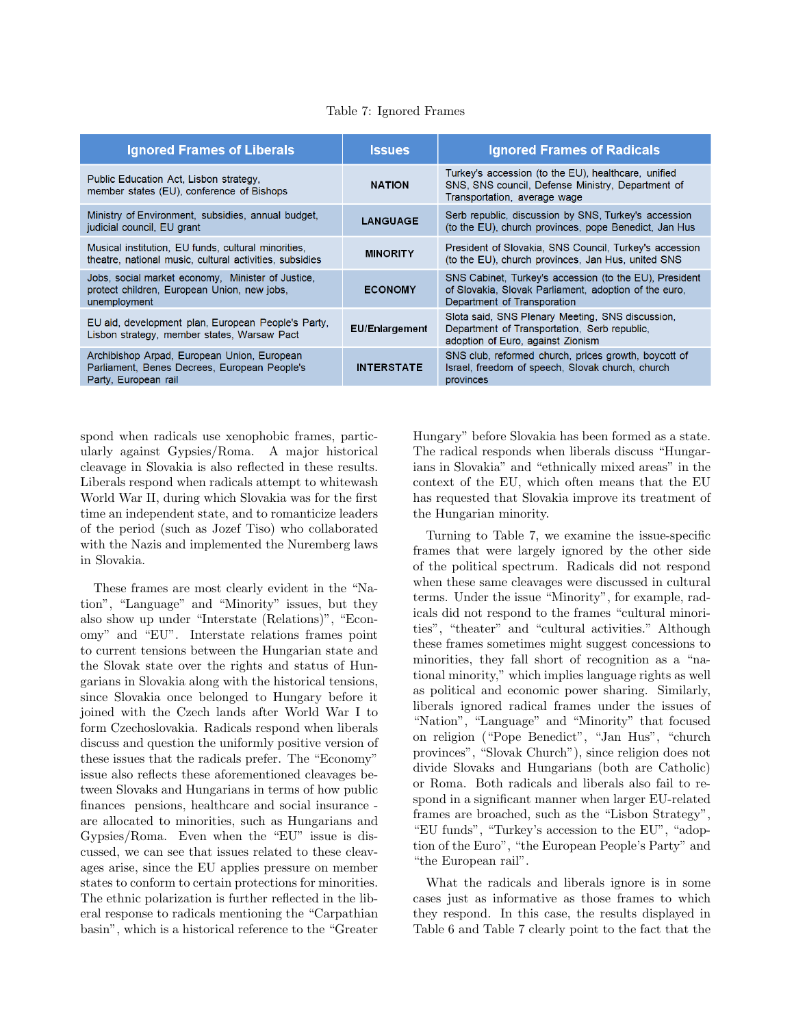|  | Table 7: Ignored Frames |  |
|--|-------------------------|--|
|--|-------------------------|--|

| <b>Ignored Frames of Liberals</b>                                                                                   | <b>Issues</b>         | <b>Ignored Frames of Radicals</b>                                                                                                              |
|---------------------------------------------------------------------------------------------------------------------|-----------------------|------------------------------------------------------------------------------------------------------------------------------------------------|
| Public Education Act, Lisbon strategy,<br>member states (EU), conference of Bishops                                 | <b>NATION</b>         | Turkey's accession (to the EU), healthcare, unified<br>SNS, SNS council, Defense Ministry, Department of<br>Transportation, average wage       |
| Ministry of Environment, subsidies, annual budget,<br>judicial council, EU grant                                    | <b>LANGUAGE</b>       | Serb republic, discussion by SNS, Turkey's accession<br>(to the EU), church provinces, pope Benedict, Jan Hus                                  |
| Musical institution, EU funds, cultural minorities,<br>theatre, national music, cultural activities, subsidies      | <b>MINORITY</b>       | President of Slovakia, SNS Council, Turkey's accession<br>(to the EU), church provinces, Jan Hus, united SNS                                   |
| Jobs, social market economy, Minister of Justice,<br>protect children, European Union, new jobs,<br>unemployment    | <b>ECONOMY</b>        | SNS Cabinet, Turkey's accession (to the EU), President<br>of Slovakia, Slovak Parliament, adoption of the euro.<br>Department of Transporation |
| EU aid, development plan, European People's Party,<br>Lisbon strategy, member states, Warsaw Pact                   | <b>EU/Enlargement</b> | Slota said, SNS Plenary Meeting, SNS discussion,<br>Department of Transportation, Serb republic,<br>adoption of Euro, against Zionism          |
| Archibishop Arpad, European Union, European<br>Parliament, Benes Decrees, European People's<br>Party, European rail | <b>INTERSTATE</b>     | SNS club, reformed church, prices growth, boycott of<br>Israel, freedom of speech, Slovak church, church<br>provinces                          |

spond when radicals use xenophobic frames, particularly against Gypsies/Roma. A major historical cleavage in Slovakia is also reflected in these results. Liberals respond when radicals attempt to whitewash World War II, during which Slovakia was for the first time an independent state, and to romanticize leaders of the period (such as Jozef Tiso) who collaborated with the Nazis and implemented the Nuremberg laws in Slovakia.

These frames are most clearly evident in the "Nation", "Language" and "Minority" issues, but they also show up under "Interstate (Relations)", "Economy" and "EU". Interstate relations frames point to current tensions between the Hungarian state and the Slovak state over the rights and status of Hungarians in Slovakia along with the historical tensions, since Slovakia once belonged to Hungary before it joined with the Czech lands after World War I to form Czechoslovakia. Radicals respond when liberals discuss and question the uniformly positive version of these issues that the radicals prefer. The "Economy" issue also reflects these aforementioned cleavages between Slovaks and Hungarians in terms of how public finances pensions, healthcare and social insurance are allocated to minorities, such as Hungarians and Gypsies/Roma. Even when the "EU" issue is discussed, we can see that issues related to these cleavages arise, since the EU applies pressure on member states to conform to certain protections for minorities. The ethnic polarization is further reflected in the liberal response to radicals mentioning the "Carpathian basin", which is a historical reference to the "Greater Hungary" before Slovakia has been formed as a state. The radical responds when liberals discuss "Hungarians in Slovakia" and "ethnically mixed areas" in the context of the EU, which often means that the EU has requested that Slovakia improve its treatment of the Hungarian minority.

Turning to Table 7, we examine the issue-specific frames that were largely ignored by the other side of the political spectrum. Radicals did not respond when these same cleavages were discussed in cultural terms. Under the issue "Minority", for example, radicals did not respond to the frames "cultural minorities", "theater" and "cultural activities." Although these frames sometimes might suggest concessions to minorities, they fall short of recognition as a "national minority," which implies language rights as well as political and economic power sharing. Similarly, liberals ignored radical frames under the issues of "Nation", "Language" and "Minority" that focused on religion ("Pope Benedict", "Jan Hus", "church provinces", "Slovak Church"), since religion does not divide Slovaks and Hungarians (both are Catholic) or Roma. Both radicals and liberals also fail to respond in a significant manner when larger EU-related frames are broached, such as the "Lisbon Strategy", "EU funds", "Turkey's accession to the EU", "adoption of the Euro", "the European People's Party" and "the European rail".

What the radicals and liberals ignore is in some cases just as informative as those frames to which they respond. In this case, the results displayed in Table 6 and Table 7 clearly point to the fact that the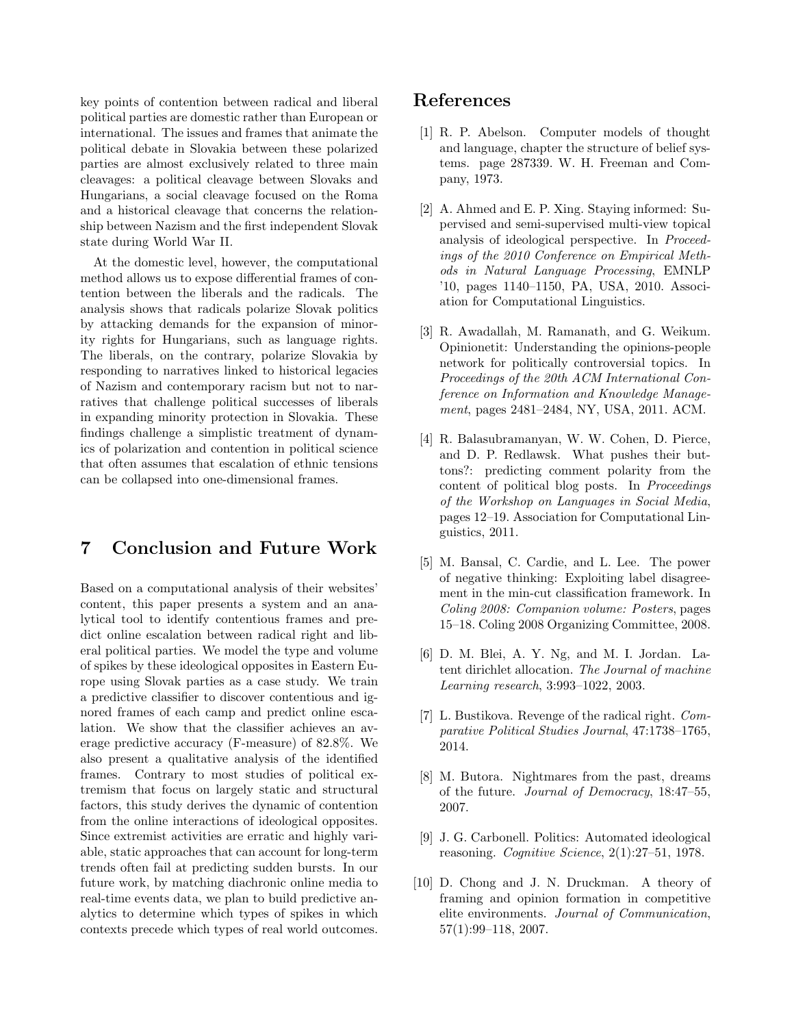key points of contention between radical and liberal political parties are domestic rather than European or international. The issues and frames that animate the political debate in Slovakia between these polarized parties are almost exclusively related to three main cleavages: a political cleavage between Slovaks and Hungarians, a social cleavage focused on the Roma and a historical cleavage that concerns the relationship between Nazism and the first independent Slovak state during World War II.

At the domestic level, however, the computational method allows us to expose differential frames of contention between the liberals and the radicals. The analysis shows that radicals polarize Slovak politics by attacking demands for the expansion of minority rights for Hungarians, such as language rights. The liberals, on the contrary, polarize Slovakia by responding to narratives linked to historical legacies of Nazism and contemporary racism but not to narratives that challenge political successes of liberals in expanding minority protection in Slovakia. These findings challenge a simplistic treatment of dynamics of polarization and contention in political science that often assumes that escalation of ethnic tensions can be collapsed into one-dimensional frames.

### 7 Conclusion and Future Work

Based on a computational analysis of their websites' content, this paper presents a system and an analytical tool to identify contentious frames and predict online escalation between radical right and liberal political parties. We model the type and volume of spikes by these ideological opposites in Eastern Europe using Slovak parties as a case study. We train a predictive classifier to discover contentious and ignored frames of each camp and predict online escalation. We show that the classifier achieves an average predictive accuracy (F-measure) of 82.8%. We also present a qualitative analysis of the identified frames. Contrary to most studies of political extremism that focus on largely static and structural factors, this study derives the dynamic of contention from the online interactions of ideological opposites. Since extremist activities are erratic and highly variable, static approaches that can account for long-term trends often fail at predicting sudden bursts. In our future work, by matching diachronic online media to real-time events data, we plan to build predictive analytics to determine which types of spikes in which contexts precede which types of real world outcomes.

### References

- [1] R. P. Abelson. Computer models of thought and language, chapter the structure of belief systems. page 287339. W. H. Freeman and Company, 1973.
- [2] A. Ahmed and E. P. Xing. Staying informed: Supervised and semi-supervised multi-view topical analysis of ideological perspective. In Proceedings of the 2010 Conference on Empirical Methods in Natural Language Processing, EMNLP '10, pages 1140–1150, PA, USA, 2010. Association for Computational Linguistics.
- [3] R. Awadallah, M. Ramanath, and G. Weikum. Opinionetit: Understanding the opinions-people network for politically controversial topics. In Proceedings of the 20th ACM International Conference on Information and Knowledge Management, pages 2481–2484, NY, USA, 2011. ACM.
- [4] R. Balasubramanyan, W. W. Cohen, D. Pierce, and D. P. Redlawsk. What pushes their buttons?: predicting comment polarity from the content of political blog posts. In Proceedings of the Workshop on Languages in Social Media, pages 12–19. Association for Computational Linguistics, 2011.
- [5] M. Bansal, C. Cardie, and L. Lee. The power of negative thinking: Exploiting label disagreement in the min-cut classification framework. In Coling 2008: Companion volume: Posters, pages 15–18. Coling 2008 Organizing Committee, 2008.
- [6] D. M. Blei, A. Y. Ng, and M. I. Jordan. Latent dirichlet allocation. The Journal of machine Learning research, 3:993–1022, 2003.
- [7] L. Bustikova. Revenge of the radical right. Comparative Political Studies Journal, 47:1738–1765, 2014.
- [8] M. Butora. Nightmares from the past, dreams of the future. Journal of Democracy, 18:47–55, 2007.
- [9] J. G. Carbonell. Politics: Automated ideological reasoning. Cognitive Science, 2(1):27–51, 1978.
- [10] D. Chong and J. N. Druckman. A theory of framing and opinion formation in competitive elite environments. Journal of Communication, 57(1):99–118, 2007.